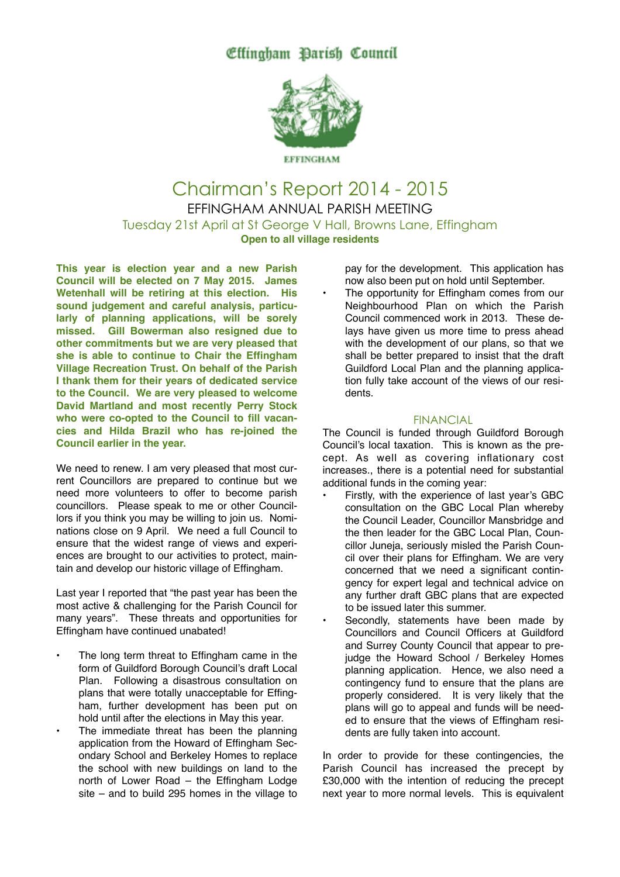Effingham Barish Council



Chairman's Report 2014 - 2015 EFFINGHAM ANNUAL PARISH MEETING Tuesday 21st April at St George V Hall, Browns Lane, Effingham **Open to all village residents**

**This year is election year and a new Parish Council will be elected on 7 May 2015. James Wetenhall will be retiring at this election. His sound judgement and careful analysis, particularly of planning applications, will be sorely missed. Gill Bowerman also resigned due to other commitments but we are very pleased that she is able to continue to Chair the Effingham Village Recreation Trust. On behalf of the Parish I thank them for their years of dedicated service to the Council. We are very pleased to welcome David Martland and most recently Perry Stock who were co-opted to the Council to fill vacancies and Hilda Brazil who has re-joined the Council earlier in the year.**

We need to renew. I am very pleased that most current Councillors are prepared to continue but we need more volunteers to offer to become parish councillors. Please speak to me or other Councillors if you think you may be willing to join us. Nominations close on 9 April. We need a full Council to ensure that the widest range of views and experiences are brought to our activities to protect, maintain and develop our historic village of Effingham.

Last year I reported that "the past year has been the most active & challenging for the Parish Council for many years". These threats and opportunities for Effingham have continued unabated!

- The long term threat to Effingham came in the form of Guildford Borough Council's draft Local Plan. Following a disastrous consultation on plans that were totally unacceptable for Effingham, further development has been put on hold until after the elections in May this year.
- The immediate threat has been the planning application from the Howard of Effingham Secondary School and Berkeley Homes to replace the school with new buildings on land to the north of Lower Road – the Effingham Lodge site – and to build 295 homes in the village to

pay for the development. This application has now also been put on hold until September.

The opportunity for Effingham comes from our Neighbourhood Plan on which the Parish Council commenced work in 2013. These delays have given us more time to press ahead with the development of our plans, so that we shall be better prepared to insist that the draft Guildford Local Plan and the planning application fully take account of the views of our residents.

## FINANCIAL

The Council is funded through Guildford Borough Council's local taxation. This is known as the precept. As well as covering inflationary cost increases., there is a potential need for substantial additional funds in the coming year:

- Firstly, with the experience of last year's GBC consultation on the GBC Local Plan whereby the Council Leader, Councillor Mansbridge and the then leader for the GBC Local Plan, Councillor Juneja, seriously misled the Parish Council over their plans for Effingham. We are very concerned that we need a significant contingency for expert legal and technical advice on any further draft GBC plans that are expected to be issued later this summer.
- Secondly, statements have been made by Councillors and Council Officers at Guildford and Surrey County Council that appear to prejudge the Howard School / Berkeley Homes planning application. Hence, we also need a contingency fund to ensure that the plans are properly considered. It is very likely that the plans will go to appeal and funds will be needed to ensure that the views of Effingham residents are fully taken into account.

In order to provide for these contingencies, the Parish Council has increased the precept by £30,000 with the intention of reducing the precept next year to more normal levels. This is equivalent